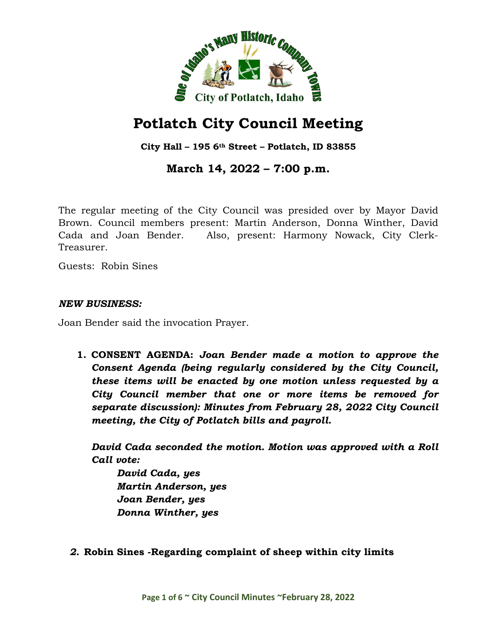

# **Potlatch City Council Meeting**

**City Hall – 195 6th Street – Potlatch, ID 83855**

# **March 14, 2022 – 7:00 p.m.**

The regular meeting of the City Council was presided over by Mayor David Brown. Council members present: Martin Anderson, Donna Winther, David Cada and Joan Bender. Also, present: Harmony Nowack, City Clerk-Treasurer.

Guests: Robin Sines

#### *NEW BUSINESS:*

Joan Bender said the invocation Prayer.

**1. CONSENT AGENDA:** *Joan Bender made a motion to approve the Consent Agenda (being regularly considered by the City Council, these items will be enacted by one motion unless requested by a City Council member that one or more items be removed for separate discussion): Minutes from February 28, 2022 City Council meeting, the City of Potlatch bills and payroll.*

*David Cada seconded the motion. Motion was approved with a Roll Call vote:*

*David Cada, yes Martin Anderson, yes Joan Bender, yes Donna Winther, yes*

*2.* **Robin Sines -Regarding complaint of sheep within city limits**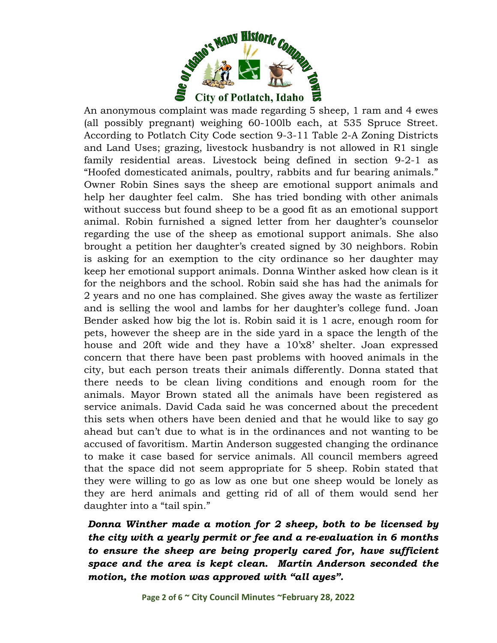

An anonymous complaint was made regarding 5 sheep, 1 ram and 4 ewes (all possibly pregnant) weighing 60-100lb each, at 535 Spruce Street. According to Potlatch City Code section 9-3-11 Table 2-A Zoning Districts and Land Uses; grazing, livestock husbandry is not allowed in R1 single family residential areas. Livestock being defined in section 9-2-1 as "Hoofed domesticated animals, poultry, rabbits and fur bearing animals." Owner Robin Sines says the sheep are emotional support animals and help her daughter feel calm. She has tried bonding with other animals without success but found sheep to be a good fit as an emotional support animal. Robin furnished a signed letter from her daughter's counselor regarding the use of the sheep as emotional support animals. She also brought a petition her daughter's created signed by 30 neighbors. Robin is asking for an exemption to the city ordinance so her daughter may keep her emotional support animals. Donna Winther asked how clean is it for the neighbors and the school. Robin said she has had the animals for 2 years and no one has complained. She gives away the waste as fertilizer and is selling the wool and lambs for her daughter's college fund. Joan Bender asked how big the lot is. Robin said it is 1 acre, enough room for pets, however the sheep are in the side yard in a space the length of the house and 20ft wide and they have a 10'x8' shelter. Joan expressed concern that there have been past problems with hooved animals in the city, but each person treats their animals differently. Donna stated that there needs to be clean living conditions and enough room for the animals. Mayor Brown stated all the animals have been registered as service animals. David Cada said he was concerned about the precedent this sets when others have been denied and that he would like to say go ahead but can't due to what is in the ordinances and not wanting to be accused of favoritism. Martin Anderson suggested changing the ordinance to make it case based for service animals. All council members agreed that the space did not seem appropriate for 5 sheep. Robin stated that they were willing to go as low as one but one sheep would be lonely as they are herd animals and getting rid of all of them would send her daughter into a "tail spin."

*Donna Winther made a motion for 2 sheep, both to be licensed by the city with a yearly permit or fee and a re-evaluation in 6 months to ensure the sheep are being properly cared for, have sufficient space and the area is kept clean. Martin Anderson seconded the motion, the motion was approved with "all ayes".*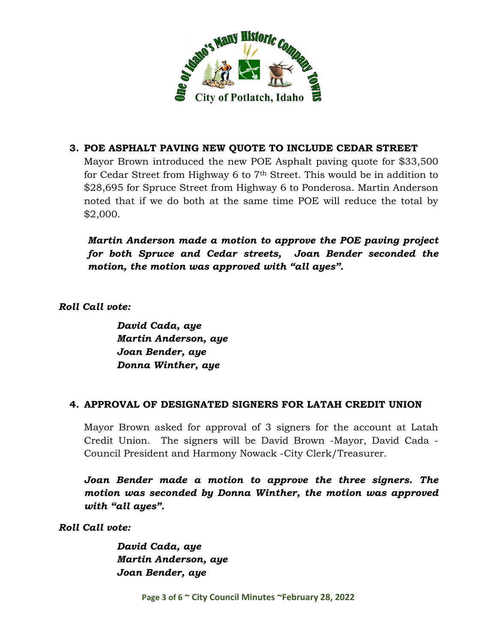

# **3. POE ASPHALT PAVING NEW QUOTE TO INCLUDE CEDAR STREET**

Mayor Brown introduced the new POE Asphalt paving quote for \$33,500 for Cedar Street from Highway 6 to 7th Street. This would be in addition to \$28,695 for Spruce Street from Highway 6 to Ponderosa. Martin Anderson noted that if we do both at the same time POE will reduce the total by \$2,000.

*Martin Anderson made a motion to approve the POE paving project for both Spruce and Cedar streets, Joan Bender seconded the motion, the motion was approved with "all ayes".*

*Roll Call vote:*

*David Cada, aye Martin Anderson, aye Joan Bender, aye Donna Winther, aye*

#### **4. APPROVAL OF DESIGNATED SIGNERS FOR LATAH CREDIT UNION**

Mayor Brown asked for approval of 3 signers for the account at Latah Credit Union. The signers will be David Brown -Mayor, David Cada - Council President and Harmony Nowack -City Clerk/Treasurer.

*Joan Bender made a motion to approve the three signers. The motion was seconded by Donna Winther, the motion was approved with "all ayes".*

*Roll Call vote:*

*David Cada, aye Martin Anderson, aye Joan Bender, aye*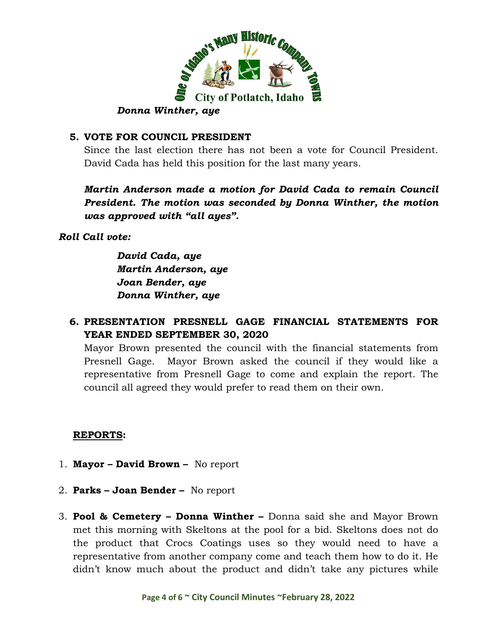

#### **5. VOTE FOR COUNCIL PRESIDENT**

Since the last election there has not been a vote for Council President. David Cada has held this position for the last many years.

*Martin Anderson made a motion for David Cada to remain Council President. The motion was seconded by Donna Winther, the motion was approved with "all ayes".*

*Roll Call vote:*

*David Cada, aye Martin Anderson, aye Joan Bender, aye Donna Winther, aye*

## **6. PRESENTATION PRESNELL GAGE FINANCIAL STATEMENTS FOR YEAR ENDED SEPTEMBER 30, 2020**

Mayor Brown presented the council with the financial statements from Presnell Gage. Mayor Brown asked the council if they would like a representative from Presnell Gage to come and explain the report. The council all agreed they would prefer to read them on their own.

#### **REPORTS:**

- 1. **Mayor – David Brown** No report
- 2. **Parks – Joan Bender –** No report
- 3. **Pool & Cemetery – Donna Winther –** Donna said she and Mayor Brown met this morning with Skeltons at the pool for a bid. Skeltons does not do the product that Crocs Coatings uses so they would need to have a representative from another company come and teach them how to do it. He didn't know much about the product and didn't take any pictures while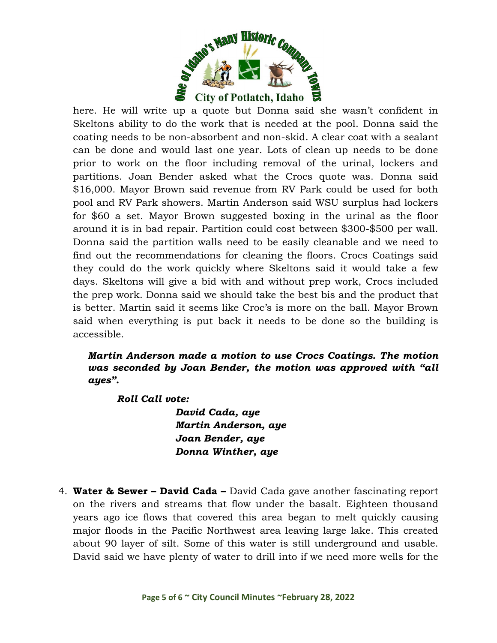

here. He will write up a quote but Donna said she wasn't confident in Skeltons ability to do the work that is needed at the pool. Donna said the coating needs to be non-absorbent and non-skid. A clear coat with a sealant can be done and would last one year. Lots of clean up needs to be done prior to work on the floor including removal of the urinal, lockers and partitions. Joan Bender asked what the Crocs quote was. Donna said \$16,000. Mayor Brown said revenue from RV Park could be used for both pool and RV Park showers. Martin Anderson said WSU surplus had lockers for \$60 a set. Mayor Brown suggested boxing in the urinal as the floor around it is in bad repair. Partition could cost between \$300-\$500 per wall. Donna said the partition walls need to be easily cleanable and we need to find out the recommendations for cleaning the floors. Crocs Coatings said they could do the work quickly where Skeltons said it would take a few days. Skeltons will give a bid with and without prep work, Crocs included the prep work. Donna said we should take the best bis and the product that is better. Martin said it seems like Croc's is more on the ball. Mayor Brown said when everything is put back it needs to be done so the building is accessible.

# *Martin Anderson made a motion to use Crocs Coatings. The motion was seconded by Joan Bender, the motion was approved with "all ayes".*

*Roll Call vote:*

*David Cada, aye Martin Anderson, aye Joan Bender, aye Donna Winther, aye*

4. **Water & Sewer – David Cada –** David Cada gave another fascinating report on the rivers and streams that flow under the basalt. Eighteen thousand years ago ice flows that covered this area began to melt quickly causing major floods in the Pacific Northwest area leaving large lake. This created about 90 layer of silt. Some of this water is still underground and usable. David said we have plenty of water to drill into if we need more wells for the